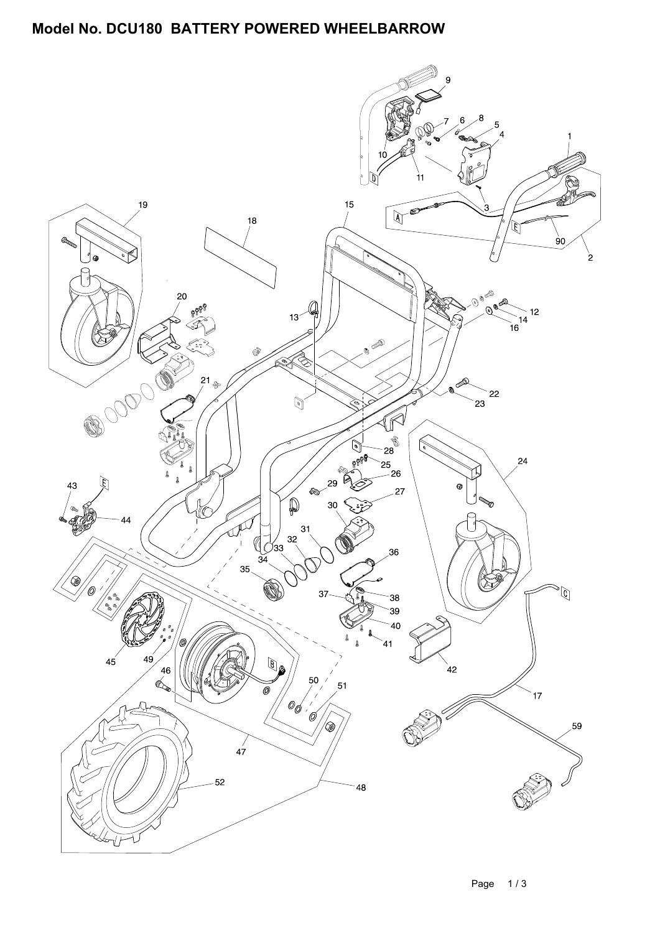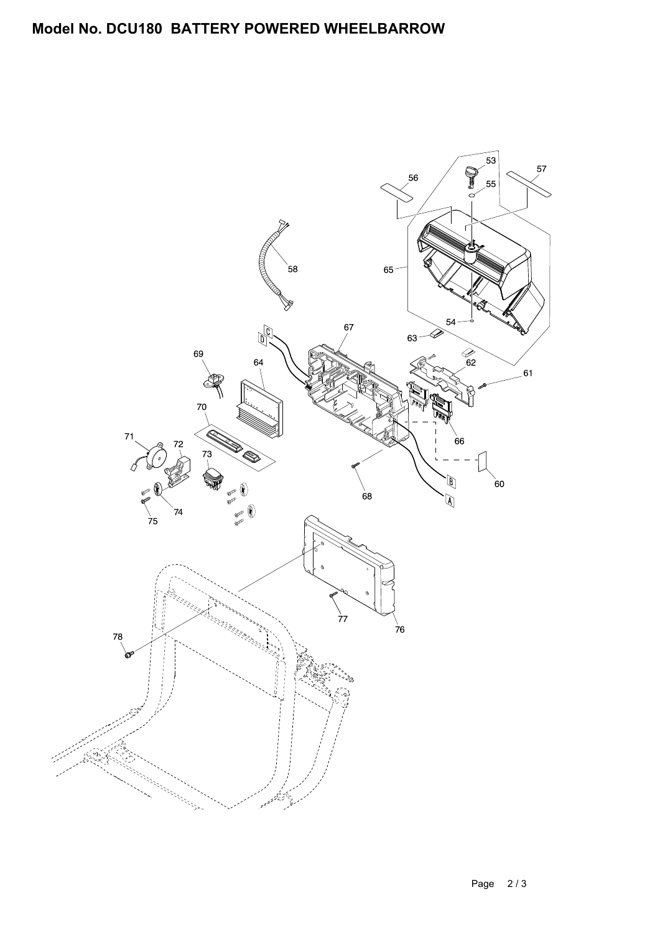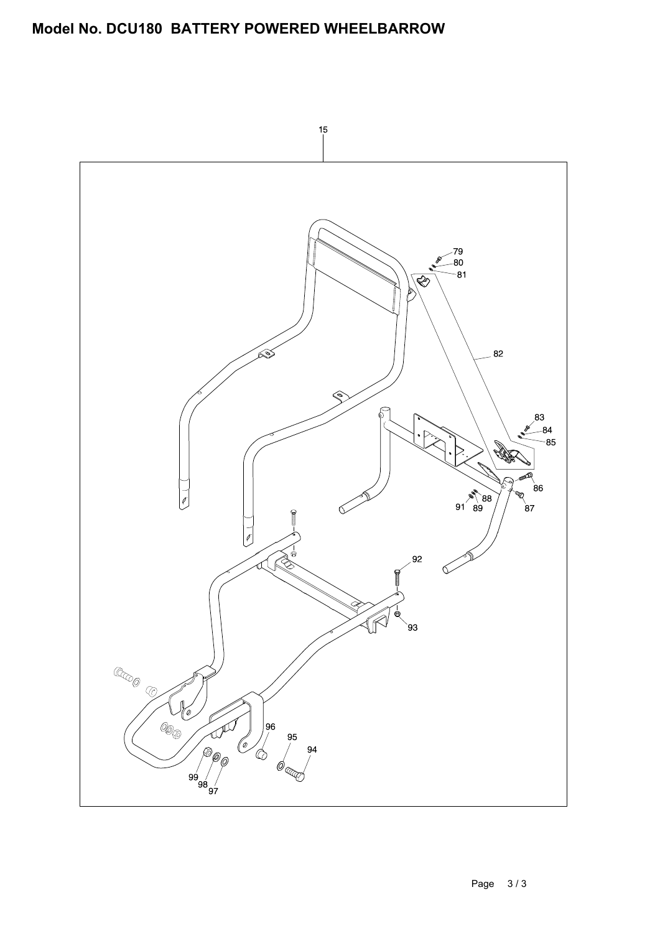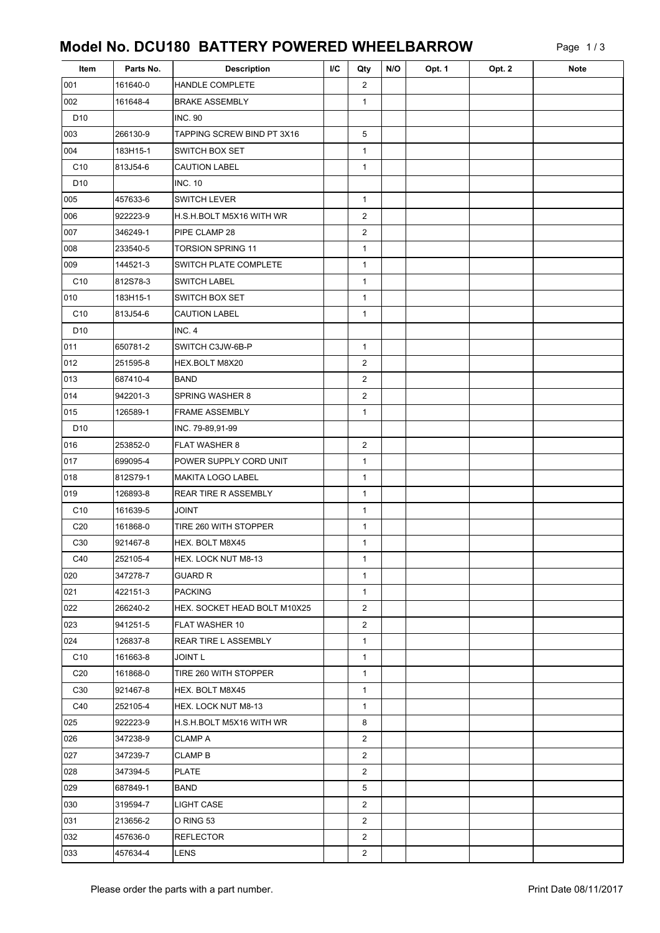Page 1 / 3

| Item            | Parts No. | <b>Description</b>           | <b>I/C</b> | Qty            | N/O | Opt. 1 | Opt. 2 | <b>Note</b> |
|-----------------|-----------|------------------------------|------------|----------------|-----|--------|--------|-------------|
| 001             | 161640-0  | HANDLE COMPLETE              |            | $\overline{2}$ |     |        |        |             |
| 002             | 161648-4  | <b>BRAKE ASSEMBLY</b>        |            | $\mathbf{1}$   |     |        |        |             |
| D <sub>10</sub> |           | <b>INC. 90</b>               |            |                |     |        |        |             |
| 003             | 266130-9  | TAPPING SCREW BIND PT 3X16   |            | 5              |     |        |        |             |
| 004             | 183H15-1  | SWITCH BOX SET               |            | $\mathbf{1}$   |     |        |        |             |
| C <sub>10</sub> | 813J54-6  | <b>CAUTION LABEL</b>         |            | $\mathbf{1}$   |     |        |        |             |
| D <sub>10</sub> |           | <b>INC. 10</b>               |            |                |     |        |        |             |
| 005             | 457633-6  | <b>SWITCH LEVER</b>          |            | $\mathbf{1}$   |     |        |        |             |
| 006             | 922223-9  | H.S.H.BOLT M5X16 WITH WR     |            | $\overline{2}$ |     |        |        |             |
| 007             | 346249-1  | PIPE CLAMP 28                |            | $\overline{2}$ |     |        |        |             |
| 008             | 233540-5  | <b>TORSION SPRING 11</b>     |            | $\mathbf{1}$   |     |        |        |             |
| 009             | 144521-3  | SWITCH PLATE COMPLETE        |            | 1              |     |        |        |             |
| C10             | 812S78-3  | <b>SWITCH LABEL</b>          |            | $\mathbf{1}$   |     |        |        |             |
| 010             | 183H15-1  | SWITCH BOX SET               |            | $\mathbf{1}$   |     |        |        |             |
| C <sub>10</sub> | 813J54-6  | <b>CAUTION LABEL</b>         |            | $\mathbf{1}$   |     |        |        |             |
| D <sub>10</sub> |           | INC. 4                       |            |                |     |        |        |             |
| 011             | 650781-2  | SWITCH C3JW-6B-P             |            | $\mathbf{1}$   |     |        |        |             |
| 012             | 251595-8  | HEX.BOLT M8X20               |            | $\overline{2}$ |     |        |        |             |
| 013             | 687410-4  | BAND                         |            | 2              |     |        |        |             |
| 014             | 942201-3  | <b>SPRING WASHER 8</b>       |            | $\overline{2}$ |     |        |        |             |
| 015             | 126589-1  | <b>FRAME ASSEMBLY</b>        |            | $\mathbf{1}$   |     |        |        |             |
| D10             |           | INC. 79-89,91-99             |            |                |     |        |        |             |
| 016             | 253852-0  | FLAT WASHER 8                |            | 2              |     |        |        |             |
| 017             | 699095-4  | POWER SUPPLY CORD UNIT       |            | $\mathbf{1}$   |     |        |        |             |
| 018             | 812S79-1  | MAKITA LOGO LABEL            |            | $\mathbf{1}$   |     |        |        |             |
| 019             | 126893-8  | <b>REAR TIRE R ASSEMBLY</b>  |            | $\mathbf{1}$   |     |        |        |             |
| C <sub>10</sub> | 161639-5  | <b>JOINT</b>                 |            | $\mathbf{1}$   |     |        |        |             |
| C <sub>20</sub> | 161868-0  | TIRE 260 WITH STOPPER        |            | $\mathbf 1$    |     |        |        |             |
| C <sub>30</sub> | 921467-8  | HEX. BOLT M8X45              |            | $\mathbf{1}$   |     |        |        |             |
| C40             | 252105-4  | HEX. LOCK NUT M8-13          |            | 1              |     |        |        |             |
| 020             | 347278-7  | <b>GUARD R</b>               |            | $\mathbf 1$    |     |        |        |             |
| 021             | 422151-3  | <b>PACKING</b>               |            | $\mathbf{1}$   |     |        |        |             |
| 022             | 266240-2  | HEX. SOCKET HEAD BOLT M10X25 |            | $\overline{2}$ |     |        |        |             |
| 023             | 941251-5  | FLAT WASHER 10               |            | $\overline{2}$ |     |        |        |             |
| 024             | 126837-8  | <b>REAR TIRE L ASSEMBLY</b>  |            | $\mathbf{1}$   |     |        |        |             |
| C <sub>10</sub> | 161663-8  | JOINT L                      |            | $\mathbf 1$    |     |        |        |             |
| C <sub>20</sub> | 161868-0  | TIRE 260 WITH STOPPER        |            | $\mathbf 1$    |     |        |        |             |
| C <sub>30</sub> | 921467-8  | HEX. BOLT M8X45              |            | $\mathbf{1}$   |     |        |        |             |
| C40             | 252105-4  | HEX. LOCK NUT M8-13          |            | $\mathbf{1}$   |     |        |        |             |
| 025             | 922223-9  | H.S.H.BOLT M5X16 WITH WR     |            | 8              |     |        |        |             |
| 026             | 347238-9  | <b>CLAMP A</b>               |            | $\overline{2}$ |     |        |        |             |
| 027             | 347239-7  | <b>CLAMP B</b>               |            | $\overline{2}$ |     |        |        |             |
| 028             | 347394-5  | <b>PLATE</b>                 |            | 2              |     |        |        |             |
| 029             | 687849-1  | BAND                         |            | 5              |     |        |        |             |
| 030             | 319594-7  | LIGHT CASE                   |            | $\overline{2}$ |     |        |        |             |
| 031             | 213656-2  | O RING 53                    |            | $\overline{2}$ |     |        |        |             |
| 032             | 457636-0  | <b>REFLECTOR</b>             |            | 2              |     |        |        |             |
| 033             | 457634-4  | LENS                         |            | $\overline{2}$ |     |        |        |             |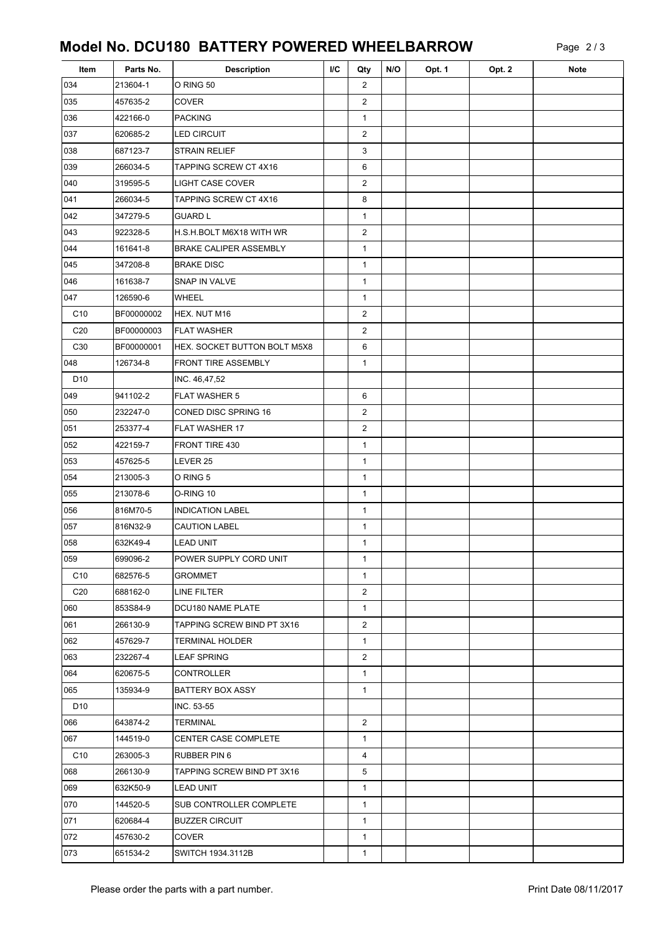| Item            | Parts No.  | <b>Description</b>            | <b>I/C</b> | Qty            | N/O | Opt. 1 | Opt. 2 | <b>Note</b> |
|-----------------|------------|-------------------------------|------------|----------------|-----|--------|--------|-------------|
| 034             | 213604-1   | O RING 50                     |            | 2              |     |        |        |             |
| 035             | 457635-2   | <b>COVER</b>                  |            | 2              |     |        |        |             |
| 036             | 422166-0   | PACKING                       |            | $\mathbf{1}$   |     |        |        |             |
| 037             | 620685-2   | <b>LED CIRCUIT</b>            |            | $\overline{c}$ |     |        |        |             |
| 038             | 687123-7   | <b>STRAIN RELIEF</b>          |            | 3              |     |        |        |             |
| 039             | 266034-5   | TAPPING SCREW CT 4X16         |            | 6              |     |        |        |             |
| 040             | 319595-5   | <b>LIGHT CASE COVER</b>       |            | 2              |     |        |        |             |
| 041             | 266034-5   | TAPPING SCREW CT 4X16         |            | 8              |     |        |        |             |
| 042             | 347279-5   | <b>GUARD L</b>                |            | $\mathbf 1$    |     |        |        |             |
| 043             | 922328-5   | H.S.H.BOLT M6X18 WITH WR      |            | $\overline{c}$ |     |        |        |             |
| 044             | 161641-8   | <b>BRAKE CALIPER ASSEMBLY</b> |            | $\mathbf{1}$   |     |        |        |             |
| 045             | 347208-8   | <b>BRAKE DISC</b>             |            | $\mathbf{1}$   |     |        |        |             |
| 046             | 161638-7   | SNAP IN VALVE                 |            | $\mathbf{1}$   |     |        |        |             |
| 047             | 126590-6   | <b>WHEEL</b>                  |            | $\mathbf{1}$   |     |        |        |             |
| C <sub>10</sub> | BF00000002 | HEX. NUT M16                  |            | $\overline{c}$ |     |        |        |             |
| C <sub>20</sub> | BF00000003 | <b>FLAT WASHER</b>            |            | $\overline{c}$ |     |        |        |             |
| C30             | BF00000001 | HEX. SOCKET BUTTON BOLT M5X8  |            | 6              |     |        |        |             |
| 048             | 126734-8   | <b>FRONT TIRE ASSEMBLY</b>    |            | $\mathbf{1}$   |     |        |        |             |
| D <sub>10</sub> |            | INC. 46,47,52                 |            |                |     |        |        |             |
| 049             | 941102-2   | <b>FLAT WASHER 5</b>          |            | 6              |     |        |        |             |
| 050             | 232247-0   | CONED DISC SPRING 16          |            | $\overline{2}$ |     |        |        |             |
| 051             | 253377-4   | FLAT WASHER 17                |            | $\overline{c}$ |     |        |        |             |
| 052             | 422159-7   | FRONT TIRE 430                |            | $\mathbf{1}$   |     |        |        |             |
| 053             | 457625-5   | LEVER 25                      |            | $\mathbf{1}$   |     |        |        |             |
| 054             | 213005-3   | O RING 5                      |            | $\mathbf 1$    |     |        |        |             |
| 055             | 213078-6   | O-RING 10                     |            | $\mathbf{1}$   |     |        |        |             |
| 056             | 816M70-5   | <b>INDICATION LABEL</b>       |            | $\mathbf{1}$   |     |        |        |             |
| 057             | 816N32-9   | <b>CAUTION LABEL</b>          |            | $\mathbf{1}$   |     |        |        |             |
| 058             | 632K49-4   | LEAD UNIT                     |            | $\mathbf{1}$   |     |        |        |             |
| 059             | 699096-2   | POWER SUPPLY CORD UNIT        |            | $\mathbf 1$    |     |        |        |             |
| C <sub>10</sub> | 682576-5   | GROMMET                       |            | $\mathbf{1}$   |     |        |        |             |
| C <sub>20</sub> | 688162-0   | LINE FILTER                   |            | 2              |     |        |        |             |
| 060             | 853S84-9   | DCU180 NAME PLATE             |            | $\mathbf{1}$   |     |        |        |             |
| 061             | 266130-9   | TAPPING SCREW BIND PT 3X16    |            | $\overline{2}$ |     |        |        |             |
| 062             | 457629-7   | TERMINAL HOLDER               |            | $\mathbf{1}$   |     |        |        |             |
| 063             | 232267-4   | LEAF SPRING                   |            | $\overline{2}$ |     |        |        |             |
| 064             | 620675-5   | <b>CONTROLLER</b>             |            | $\mathbf{1}$   |     |        |        |             |
| 065             | 135934-9   | BATTERY BOX ASSY              |            | $\mathbf{1}$   |     |        |        |             |
| D <sub>10</sub> |            | INC. 53-55                    |            |                |     |        |        |             |
| 066             | 643874-2   | <b>TERMINAL</b>               |            | $\overline{2}$ |     |        |        |             |
| 067             | 144519-0   | <b>CENTER CASE COMPLETE</b>   |            | $\mathbf{1}$   |     |        |        |             |
| C <sub>10</sub> | 263005-3   | <b>RUBBER PIN 6</b>           |            | $\overline{4}$ |     |        |        |             |
| 068             | 266130-9   | TAPPING SCREW BIND PT 3X16    |            | 5              |     |        |        |             |
| 069             | 632K50-9   | <b>LEAD UNIT</b>              |            | $\mathbf{1}$   |     |        |        |             |
| 070             | 144520-5   | SUB CONTROLLER COMPLETE       |            | $\mathbf{1}$   |     |        |        |             |
| 071             | 620684-4   | <b>BUZZER CIRCUIT</b>         |            | $\mathbf{1}$   |     |        |        |             |
| 072             | 457630-2   | <b>COVER</b>                  |            | $\mathbf{1}$   |     |        |        |             |
| 073             | 651534-2   | SWITCH 1934.3112B             |            | 1              |     |        |        |             |